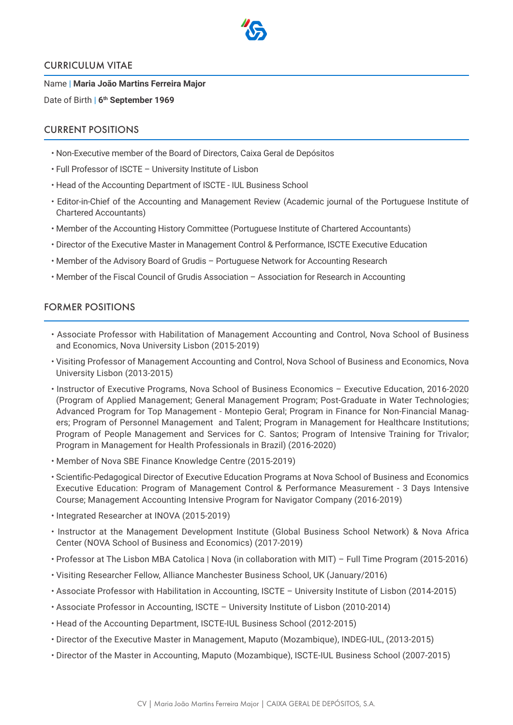

### CURRICULUM VITAE

Name | **Maria João Martins Ferreira Major** Date of Birth | 6<sup>th</sup> September 1969

# CURRENT POSITIONS

- Non-Executive member of the Board of Directors, Caixa Geral de Depósitos
- Full Professor of ISCTE University Institute of Lisbon
- Head of the Accounting Department of ISCTE IUL Business School
- Editor-in-Chief of the Accounting and Management Review (Academic journal of the Portuguese Institute of Chartered Accountants)
- Member of the Accounting History Committee (Portuguese Institute of Chartered Accountants)
- Director of the Executive Master in Management Control & Performance, ISCTE Executive Education
- Member of the Advisory Board of Grudis Portuguese Network for Accounting Research
- Member of the Fiscal Council of Grudis Association Association for Research in Accounting

# FORMER POSITIONS

- Associate Professor with Habilitation of Management Accounting and Control, Nova School of Business and Economics, Nova University Lisbon (2015-2019)
- Visiting Professor of Management Accounting and Control, Nova School of Business and Economics, Nova University Lisbon (2013-2015)
- Instructor of Executive Programs, Nova School of Business Economics Executive Education, 2016-2020 (Program of Applied Management; General Management Program; Post-Graduate in Water Technologies; Advanced Program for Top Management - Montepio Geral; Program in Finance for Non-Financial Managers; Program of Personnel Management and Talent; Program in Management for Healthcare Institutions; Program of People Management and Services for C. Santos; Program of Intensive Training for Trivalor; Program in Management for Health Professionals in Brazil) (2016-2020)
- Member of Nova SBE Finance Knowledge Centre (2015-2019)
- Scientific-Pedagogical Director of Executive Education Programs at Nova School of Business and Economics Executive Education: Program of Management Control & Performance Measurement - 3 Days Intensive Course; Management Accounting Intensive Program for Navigator Company (2016-2019)
- Integrated Researcher at INOVA (2015-2019)
- Instructor at the Management Development Institute (Global Business School Network) & Nova Africa Center (NOVA School of Business and Economics) (2017-2019)
- Professor at The Lisbon MBA Catolica | Nova (in collaboration with MIT) Full Time Program (2015-2016)
- Visiting Researcher Fellow, Alliance Manchester Business School, UK (January/2016)
- Associate Professor with Habilitation in Accounting, ISCTE University Institute of Lisbon (2014-2015)
- Associate Professor in Accounting, ISCTE University Institute of Lisbon (2010-2014)
- Head of the Accounting Department, ISCTE-IUL Business School (2012-2015)
- Director of the Executive Master in Management, Maputo (Mozambique), INDEG-IUL, (2013-2015)
- Director of the Master in Accounting, Maputo (Mozambique), ISCTE-IUL Business School (2007-2015)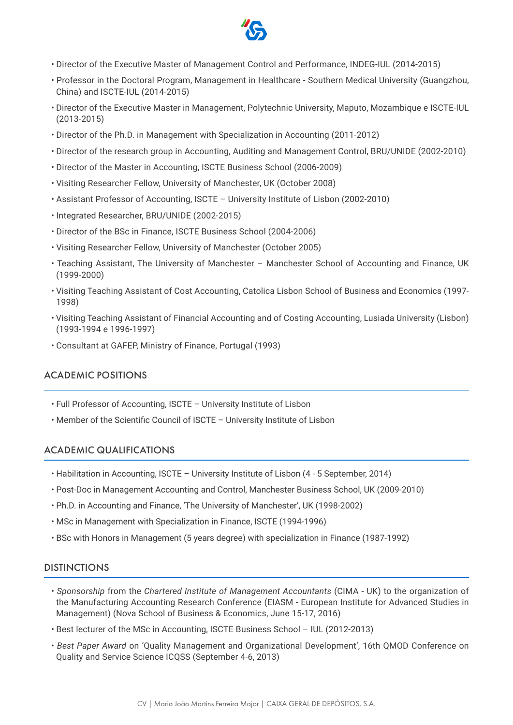

- Director of the Executive Master of Management Control and Performance, INDEG-IUL (2014-2015)
- Professor in the Doctoral Program, Management in Healthcare Southern Medical University (Guangzhou, China) and ISCTE-IUL (2014-2015)
- Director of the Executive Master in Management, Polytechnic University, Maputo, Mozambique e ISCTE-IUL (2013-2015)
- Director of the Ph.D. in Management with Specialization in Accounting (2011-2012)
- Director of the research group in Accounting, Auditing and Management Control, BRU/UNIDE (2002-2010)
- Director of the Master in Accounting, ISCTE Business School (2006-2009)
- Visiting Researcher Fellow, University of Manchester, UK (October 2008)
- Assistant Professor of Accounting, ISCTE University Institute of Lisbon (2002-2010)
- Integrated Researcher, BRU/UNIDE (2002-2015)
- Director of the BSc in Finance, ISCTE Business School (2004-2006)
- Visiting Researcher Fellow, University of Manchester (October 2005)
- Teaching Assistant, The University of Manchester Manchester School of Accounting and Finance, UK (1999-2000)
- Visiting Teaching Assistant of Cost Accounting, Catolica Lisbon School of Business and Economics (1997- 1998)
- Visiting Teaching Assistant of Financial Accounting and of Costing Accounting, Lusiada University (Lisbon) (1993-1994 e 1996-1997)
- Consultant at GAFEP, Ministry of Finance, Portugal (1993)

## ACADEMIC POSITIONS

- Full Professor of Accounting, ISCTE University Institute of Lisbon
- Member of the Scientific Council of ISCTE University Institute of Lisbon

## ACADEMIC QUALIFICATIONS

- Habilitation in Accounting, ISCTE University Institute of Lisbon (4 5 September, 2014)
- Post-Doc in Management Accounting and Control, Manchester Business School, UK (2009-2010)
- Ph.D. in Accounting and Finance, 'The University of Manchester', UK (1998-2002)
- MSc in Management with Specialization in Finance, ISCTE (1994-1996)
- BSc with Honors in Management (5 years degree) with specialization in Finance (1987-1992)

#### DISTINCTIONS

- *Sponsorship* from the *Chartered Institute of Management Accountants* (CIMA UK) to the organization of the Manufacturing Accounting Research Conference (EIASM - European Institute for Advanced Studies in Management) (Nova School of Business & Economics, June 15-17, 2016)
- Best lecturer of the MSc in Accounting, ISCTE Business School IUL (2012-2013)
- *Best Paper Award* on 'Quality Management and Organizational Development', 16th QMOD Conference on Quality and Service Science ICQSS (September 4-6, 2013)